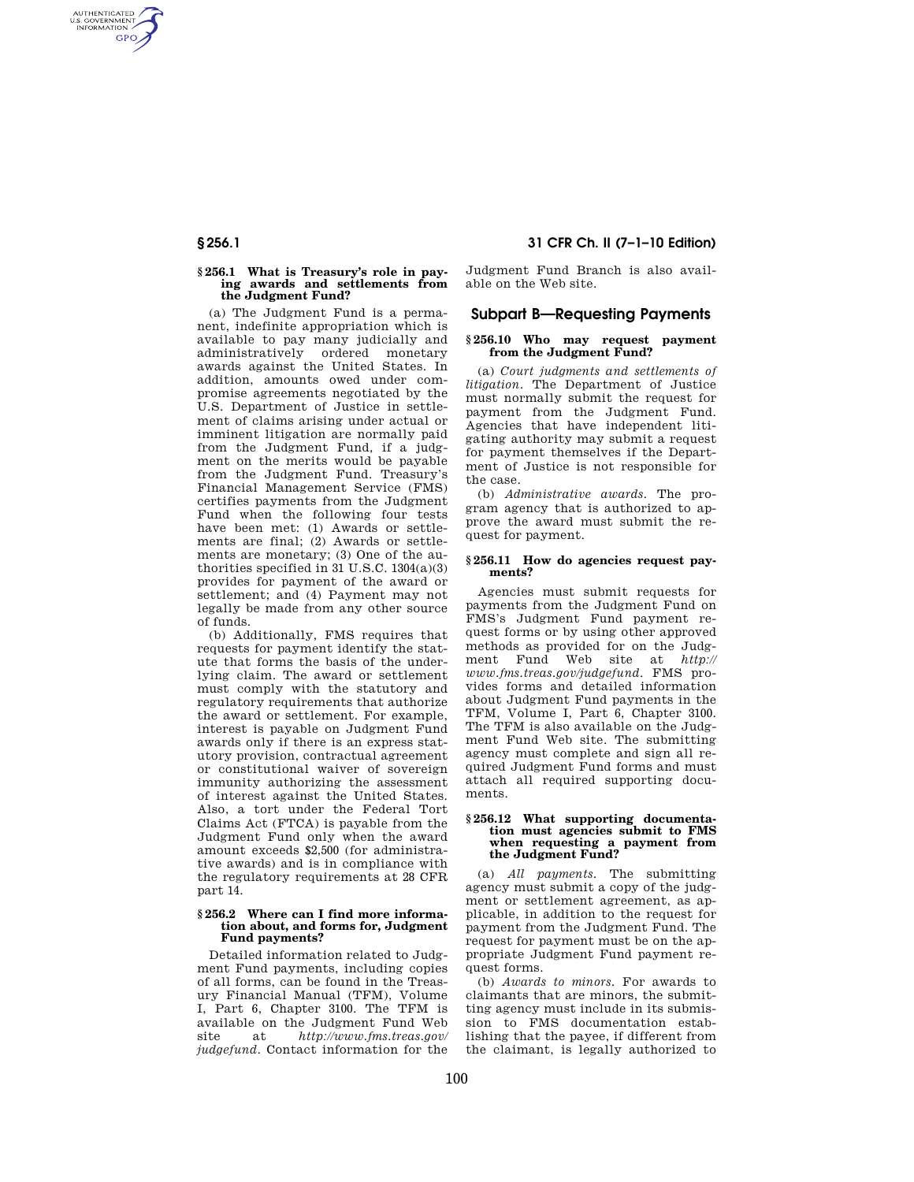# **§ 256.1 What is Treasury's role in paying awards and settlements from**

AUTHENTICATED<br>U.S. GOVERNMENT<br>INFORMATION **GPO** 

> **the Judgment Fund?**  (a) The Judgment Fund is a permanent, indefinite appropriation which is available to pay many judicially and administratively ordered monetary awards against the United States. In addition, amounts owed under compromise agreements negotiated by the U.S. Department of Justice in settlement of claims arising under actual or imminent litigation are normally paid from the Judgment Fund, if a judgment on the merits would be payable from the Judgment Fund. Treasury's Financial Management Service (FMS) certifies payments from the Judgment Fund when the following four tests have been met: (1) Awards or settlements are final; (2) Awards or settlements are monetary; (3) One of the authorities specified in  $31$  U.S.C.  $1304(a)(3)$ provides for payment of the award or settlement; and (4) Payment may not legally be made from any other source of funds.

> (b) Additionally, FMS requires that requests for payment identify the statute that forms the basis of the underlying claim. The award or settlement must comply with the statutory and regulatory requirements that authorize the award or settlement. For example, interest is payable on Judgment Fund awards only if there is an express statutory provision, contractual agreement or constitutional waiver of sovereign immunity authorizing the assessment of interest against the United States. Also, a tort under the Federal Tort Claims Act (FTCA) is payable from the Judgment Fund only when the award amount exceeds \$2,500 (for administrative awards) and is in compliance with the regulatory requirements at 28 CFR part 14.

## **§ 256.2 Where can I find more information about, and forms for, Judgment Fund payments?**

Detailed information related to Judgment Fund payments, including copies of all forms, can be found in the Treasury Financial Manual (TFM), Volume I, Part 6, Chapter 3100. The TFM is available on the Judgment Fund Web site at *http://www.fms.treas.gov/ judgefund*. Contact information for the

**§ 256.1 31 CFR Ch. II (7–1–10 Edition)** 

Judgment Fund Branch is also available on the Web site.

# **Subpart B—Requesting Payments**

# **§ 256.10 Who may request payment from the Judgment Fund?**

(a) *Court judgments and settlements of litigation.* The Department of Justice must normally submit the request for payment from the Judgment Fund. Agencies that have independent litigating authority may submit a request for payment themselves if the Department of Justice is not responsible for the case.

(b) *Administrative awards.* The program agency that is authorized to approve the award must submit the request for payment.

# **§ 256.11 How do agencies request payments?**

Agencies must submit requests for payments from the Judgment Fund on FMS's Judgment Fund payment request forms or by using other approved methods as provided for on the Judgment Fund Web site at *http:// www.fms.treas.gov/judgefund*. FMS provides forms and detailed information about Judgment Fund payments in the TFM, Volume I, Part 6, Chapter 3100. The TFM is also available on the Judgment Fund Web site. The submitting agency must complete and sign all required Judgment Fund forms and must attach all required supporting documents.

# **§ 256.12 What supporting documentation must agencies submit to FMS when requesting a payment from the Judgment Fund?**

(a) *All payments.* The submitting agency must submit a copy of the judgment or settlement agreement, as applicable, in addition to the request for payment from the Judgment Fund. The request for payment must be on the appropriate Judgment Fund payment request forms.

(b) *Awards to minors.* For awards to claimants that are minors, the submitting agency must include in its submission to FMS documentation establishing that the payee, if different from the claimant, is legally authorized to